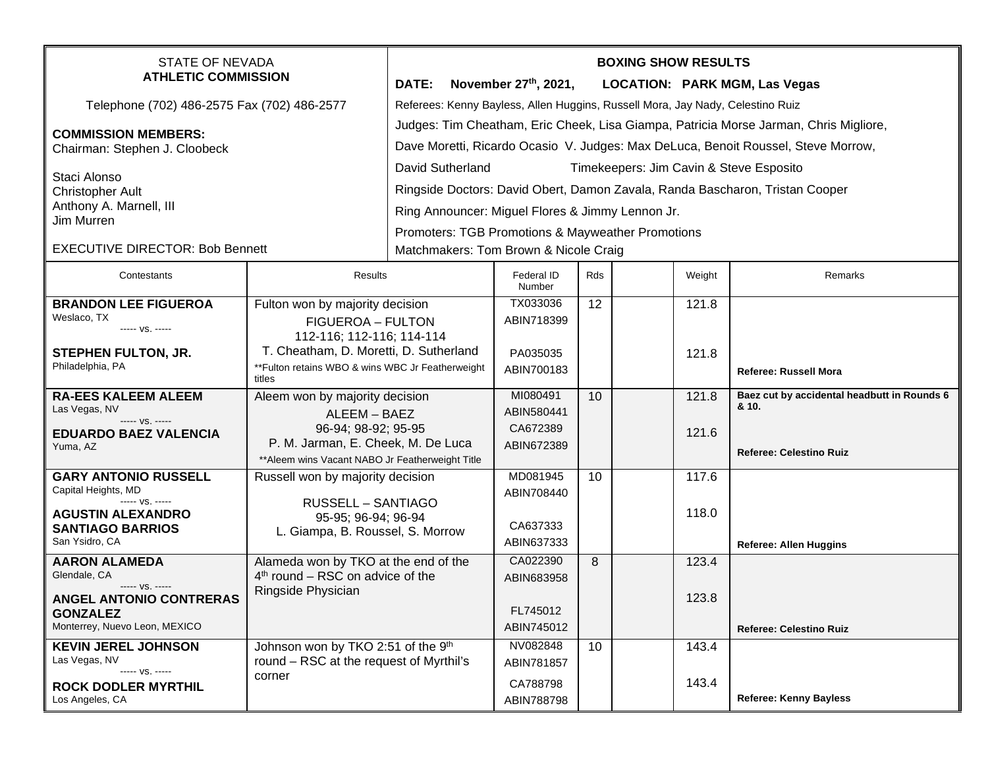| STATE OF NEVADA<br><b>ATHLETIC COMMISSION</b>                                               |                                                                                                             | <b>BOXING SHOW RESULTS</b>                                                            |                         |                                                   |  |        |                                                      |  |
|---------------------------------------------------------------------------------------------|-------------------------------------------------------------------------------------------------------------|---------------------------------------------------------------------------------------|-------------------------|---------------------------------------------------|--|--------|------------------------------------------------------|--|
|                                                                                             |                                                                                                             | <b>DATE:</b>                                                                          | November $27th$ , 2021, |                                                   |  |        | <b>LOCATION: PARK MGM, Las Vegas</b>                 |  |
| Telephone (702) 486-2575 Fax (702) 486-2577                                                 |                                                                                                             | Referees: Kenny Bayless, Allen Huggins, Russell Mora, Jay Nady, Celestino Ruiz        |                         |                                                   |  |        |                                                      |  |
|                                                                                             |                                                                                                             | Judges: Tim Cheatham, Eric Cheek, Lisa Giampa, Patricia Morse Jarman, Chris Migliore, |                         |                                                   |  |        |                                                      |  |
| <b>COMMISSION MEMBERS:</b><br>Chairman: Stephen J. Cloobeck                                 |                                                                                                             | Dave Moretti, Ricardo Ocasio V. Judges: Max DeLuca, Benoit Roussel, Steve Morrow,     |                         |                                                   |  |        |                                                      |  |
|                                                                                             |                                                                                                             | David Sutherland<br>Timekeepers: Jim Cavin & Steve Esposito                           |                         |                                                   |  |        |                                                      |  |
| Staci Alonso<br><b>Christopher Ault</b>                                                     |                                                                                                             |                                                                                       |                         |                                                   |  |        |                                                      |  |
|                                                                                             |                                                                                                             | Ringside Doctors: David Obert, Damon Zavala, Randa Bascharon, Tristan Cooper          |                         |                                                   |  |        |                                                      |  |
| Anthony A. Marnell, III<br>Jim Murren                                                       |                                                                                                             | Ring Announcer: Miguel Flores & Jimmy Lennon Jr.                                      |                         |                                                   |  |        |                                                      |  |
|                                                                                             |                                                                                                             |                                                                                       |                         | Promoters: TGB Promotions & Mayweather Promotions |  |        |                                                      |  |
| <b>EXECUTIVE DIRECTOR: Bob Bennett</b>                                                      |                                                                                                             | Matchmakers: Tom Brown & Nicole Craig                                                 |                         |                                                   |  |        |                                                      |  |
| Contestants                                                                                 | Results                                                                                                     |                                                                                       | Federal ID<br>Number    | Rds                                               |  | Weight | Remarks                                              |  |
| <b>BRANDON LEE FIGUEROA</b>                                                                 | Fulton won by majority decision                                                                             |                                                                                       | TX033036                | 12                                                |  | 121.8  |                                                      |  |
| Weslaco, TX<br>----- VS. -----                                                              | <b>FIGUEROA - FULTON</b>                                                                                    |                                                                                       | ABIN718399              |                                                   |  |        |                                                      |  |
|                                                                                             | 112-116; 112-116; 114-114                                                                                   |                                                                                       |                         |                                                   |  |        |                                                      |  |
| <b>STEPHEN FULTON, JR.</b><br>Philadelphia, PA                                              | T. Cheatham, D. Moretti, D. Sutherland<br>** Fulton retains WBO & wins WBC Jr Featherweight                 |                                                                                       | PA035035                |                                                   |  | 121.8  |                                                      |  |
|                                                                                             | titles                                                                                                      |                                                                                       | ABIN700183              |                                                   |  |        | <b>Referee: Russell Mora</b>                         |  |
| <b>RA-EES KALEEM ALEEM</b>                                                                  | Aleem won by majority decision<br>ALEEM - BAEZ<br>96-94; 98-92; 95-95<br>P. M. Jarman, E. Cheek, M. De Luca |                                                                                       | MI080491                | 10                                                |  | 121.8  | Baez cut by accidental headbutt in Rounds 6<br>& 10. |  |
| Las Vegas, NV<br>----- VS. -----                                                            |                                                                                                             |                                                                                       | ABIN580441              |                                                   |  |        |                                                      |  |
| <b>EDUARDO BAEZ VALENCIA</b>                                                                |                                                                                                             |                                                                                       | CA672389                |                                                   |  | 121.6  |                                                      |  |
| Yuma, AZ                                                                                    | ** Aleem wins Vacant NABO Jr Featherweight Title                                                            |                                                                                       | ABIN672389              |                                                   |  |        | <b>Referee: Celestino Ruiz</b>                       |  |
| <b>GARY ANTONIO RUSSELL</b>                                                                 | Russell won by majority decision                                                                            |                                                                                       | MD081945                | 10                                                |  | 117.6  |                                                      |  |
| Capital Heights, MD                                                                         |                                                                                                             |                                                                                       | ABIN708440              |                                                   |  |        |                                                      |  |
| $--- VS. ---$<br><b>AGUSTIN ALEXANDRO</b>                                                   | <b>RUSSELL - SANTIAGO</b><br>95-95; 96-94; 96-94                                                            |                                                                                       |                         |                                                   |  | 118.0  |                                                      |  |
| <b>SANTIAGO BARRIOS</b>                                                                     | L. Giampa, B. Roussel, S. Morrow                                                                            |                                                                                       | CA637333                |                                                   |  |        |                                                      |  |
| San Ysidro, CA                                                                              |                                                                                                             |                                                                                       | ABIN637333              |                                                   |  |        | Referee: Allen Huggins                               |  |
| <b>AARON ALAMEDA</b>                                                                        | Alameda won by TKO at the end of the                                                                        |                                                                                       | CA022390                | 8                                                 |  | 123.4  |                                                      |  |
| Glendale, CA<br>$4th$ round – RSC on advice of the<br>----- VS. -----<br>Ringside Physician |                                                                                                             |                                                                                       | ABIN683958              |                                                   |  |        |                                                      |  |
| <b>ANGEL ANTONIO CONTRERAS</b>                                                              |                                                                                                             |                                                                                       | FL745012                |                                                   |  | 123.8  |                                                      |  |
| <b>GONZALEZ</b><br>Monterrey, Nuevo Leon, MEXICO                                            |                                                                                                             |                                                                                       | ABIN745012              |                                                   |  |        | <b>Referee: Celestino Ruiz</b>                       |  |
| <b>KEVIN JEREL JOHNSON</b>                                                                  | Johnson won by TKO 2:51 of the 9th                                                                          |                                                                                       | NV082848                | 10 <sup>°</sup>                                   |  | 143.4  |                                                      |  |
| Las Vegas, NV                                                                               | round – RSC at the request of Myrthil's                                                                     |                                                                                       | ABIN781857              |                                                   |  |        |                                                      |  |
| ----- VS. -----                                                                             | corner                                                                                                      |                                                                                       | CA788798                |                                                   |  | 143.4  |                                                      |  |
| <b>ROCK DODLER MYRTHIL</b><br>Los Angeles, CA                                               |                                                                                                             |                                                                                       | ABIN788798              |                                                   |  |        | <b>Referee: Kenny Bayless</b>                        |  |
|                                                                                             |                                                                                                             |                                                                                       |                         |                                                   |  |        |                                                      |  |